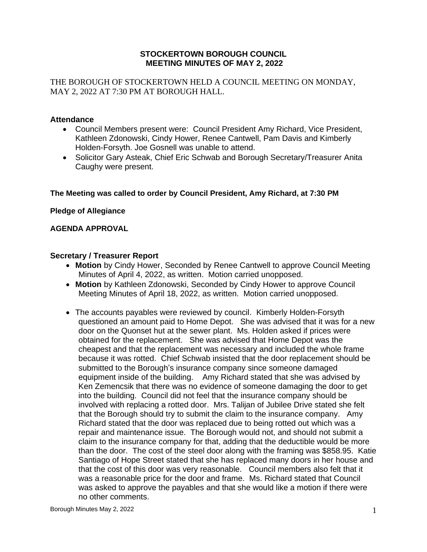## **STOCKERTOWN BOROUGH COUNCIL MEETING MINUTES OF MAY 2, 2022**

THE BOROUGH OF STOCKERTOWN HELD A COUNCIL MEETING ON MONDAY, MAY 2, 2022 AT 7:30 PM AT BOROUGH HALL.

## **Attendance**

- Council Members present were: Council President Amy Richard, Vice President, Kathleen Zdonowski, Cindy Hower, Renee Cantwell, Pam Davis and Kimberly Holden-Forsyth. Joe Gosnell was unable to attend.
- Solicitor Gary Asteak, Chief Eric Schwab and Borough Secretary/Treasurer Anita Caughy were present.

# **The Meeting was called to order by Council President, Amy Richard, at 7:30 PM**

## **Pledge of Allegiance**

## **AGENDA APPROVAL**

## **Secretary / Treasurer Report**

- **Motion** by Cindy Hower, Seconded by Renee Cantwell to approve Council Meeting Minutes of April 4, 2022, as written. Motion carried unopposed.
- **Motion** by Kathleen Zdonowski, Seconded by Cindy Hower to approve Council Meeting Minutes of April 18, 2022, as written. Motion carried unopposed.
- The accounts payables were reviewed by council. Kimberly Holden-Forsyth questioned an amount paid to Home Depot. She was advised that it was for a new door on the Quonset hut at the sewer plant. Ms. Holden asked if prices were obtained for the replacement. She was advised that Home Depot was the cheapest and that the replacement was necessary and included the whole frame because it was rotted. Chief Schwab insisted that the door replacement should be submitted to the Borough's insurance company since someone damaged equipment inside of the building. Amy Richard stated that she was advised by Ken Zemencsik that there was no evidence of someone damaging the door to get into the building. Council did not feel that the insurance company should be involved with replacing a rotted door. Mrs. Talijan of Jubilee Drive stated she felt that the Borough should try to submit the claim to the insurance company. Amy Richard stated that the door was replaced due to being rotted out which was a repair and maintenance issue. The Borough would not, and should not submit a claim to the insurance company for that, adding that the deductible would be more than the door. The cost of the steel door along with the framing was \$858.95. Katie Santiago of Hope Street stated that she has replaced many doors in her house and that the cost of this door was very reasonable. Council members also felt that it was a reasonable price for the door and frame. Ms. Richard stated that Council was asked to approve the payables and that she would like a motion if there were no other comments.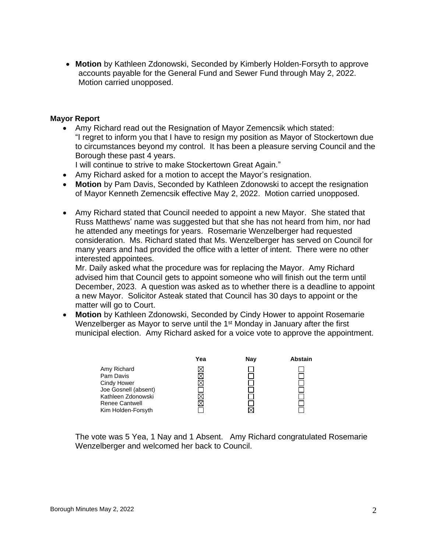• **Motion** by Kathleen Zdonowski, Seconded by Kimberly Holden-Forsyth to approve accounts payable for the General Fund and Sewer Fund through May 2, 2022. Motion carried unopposed.

#### **Mayor Report**

• Amy Richard read out the Resignation of Mayor Zemencsik which stated: "I regret to inform you that I have to resign my position as Mayor of Stockertown due to circumstances beyond my control. It has been a pleasure serving Council and the Borough these past 4 years.

I will continue to strive to make Stockertown Great Again."

- Amy Richard asked for a motion to accept the Mayor's resignation.
- **Motion** by Pam Davis, Seconded by Kathleen Zdonowski to accept the resignation of Mayor Kenneth Zemencsik effective May 2, 2022. Motion carried unopposed.
- Amy Richard stated that Council needed to appoint a new Mayor. She stated that Russ Matthews' name was suggested but that she has not heard from him, nor had he attended any meetings for years. Rosemarie Wenzelberger had requested consideration. Ms. Richard stated that Ms. Wenzelberger has served on Council for many years and had provided the office with a letter of intent. There were no other interested appointees.

Mr. Daily asked what the procedure was for replacing the Mayor. Amy Richard advised him that Council gets to appoint someone who will finish out the term until December, 2023. A question was asked as to whether there is a deadline to appoint a new Mayor. Solicitor Asteak stated that Council has 30 days to appoint or the matter will go to Court.

• **Motion** by Kathleen Zdonowski, Seconded by Cindy Hower to appoint Rosemarie Wenzelberger as Mayor to serve until the 1<sup>st</sup> Monday in January after the first municipal election. Amy Richard asked for a voice vote to approve the appointment.

|                       | Yea | Nav | <b>Abstain</b> |
|-----------------------|-----|-----|----------------|
| Amy Richard           |     |     |                |
| Pam Davis             |     |     |                |
| Cindy Hower           |     |     |                |
| Joe Gosnell (absent)  |     |     |                |
| Kathleen Zdonowski    |     |     |                |
| <b>Renee Cantwell</b> |     |     |                |
| Kim Holden-Forsyth    |     |     |                |

The vote was 5 Yea, 1 Nay and 1 Absent. Amy Richard congratulated Rosemarie Wenzelberger and welcomed her back to Council.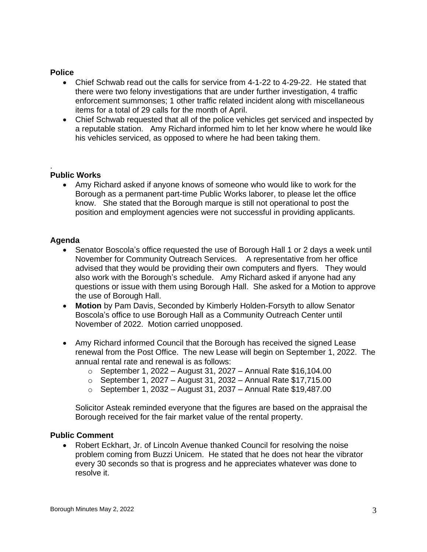### **Police**

- Chief Schwab read out the calls for service from 4-1-22 to 4-29-22. He stated that there were two felony investigations that are under further investigation, 4 traffic enforcement summonses; 1 other traffic related incident along with miscellaneous items for a total of 29 calls for the month of April.
- Chief Schwab requested that all of the police vehicles get serviced and inspected by a reputable station. Amy Richard informed him to let her know where he would like his vehicles serviced, as opposed to where he had been taking them.

#### . **Public Works**

• Amy Richard asked if anyone knows of someone who would like to work for the Borough as a permanent part-time Public Works laborer, to please let the office know. She stated that the Borough marque is still not operational to post the position and employment agencies were not successful in providing applicants.

### **Agenda**

- Senator Boscola's office requested the use of Borough Hall 1 or 2 days a week until November for Community Outreach Services. A representative from her office advised that they would be providing their own computers and flyers. They would also work with the Borough's schedule. Amy Richard asked if anyone had any questions or issue with them using Borough Hall. She asked for a Motion to approve the use of Borough Hall.
- **Motion** by Pam Davis, Seconded by Kimberly Holden-Forsyth to allow Senator Boscola's office to use Borough Hall as a Community Outreach Center until November of 2022. Motion carried unopposed.
- Amy Richard informed Council that the Borough has received the signed Lease renewal from the Post Office. The new Lease will begin on September 1, 2022. The annual rental rate and renewal is as follows:
	- $\circ$  September 1, 2022 August 31, 2027 Annual Rate \$16,104.00
	- $\circ$  September 1, 2027 August 31, 2032 Annual Rate \$17,715.00
	- $\circ$  September 1, 2032 August 31, 2037 Annual Rate \$19,487.00

Solicitor Asteak reminded everyone that the figures are based on the appraisal the Borough received for the fair market value of the rental property.

#### **Public Comment**

• Robert Eckhart, Jr. of Lincoln Avenue thanked Council for resolving the noise problem coming from Buzzi Unicem. He stated that he does not hear the vibrator every 30 seconds so that is progress and he appreciates whatever was done to resolve it.